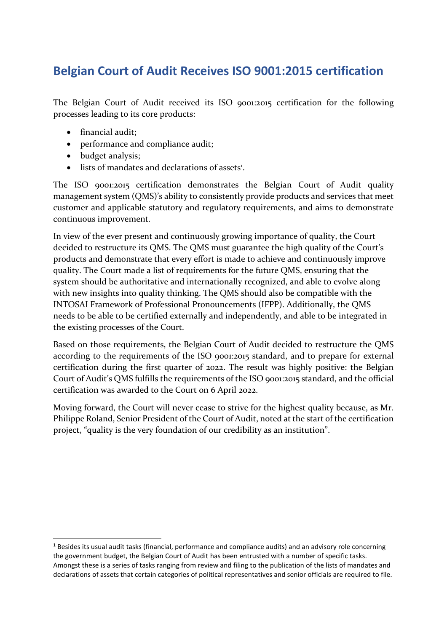## **Belgian Court of Audit Receives ISO 9001:2015 certification**

The Belgian Court of Audit received its ISO 9001:2015 certification for the following processes leading to its core products:

- financial audit;
- performance and compliance audit;
- budget analysis;

 $\overline{a}$ 

• lists of mandates and declarations of assets<sup>1</sup>.

The ISO 9001:2015 certification demonstrates the Belgian Court of Audit quality management system (QMS)'s ability to consistently provide products and services that meet customer and applicable statutory and regulatory requirements, and aims to demonstrate continuous improvement.

In view of the ever present and continuously growing importance of quality, the Court decided to restructure its QMS. The QMS must guarantee the high quality of the Court's products and demonstrate that every effort is made to achieve and continuously improve quality. The Court made a list of requirements for the future QMS, ensuring that the system should be authoritative and internationally recognized, and able to evolve along with new insights into quality thinking. The QMS should also be compatible with the INTOSAI Framework of Professional Pronouncements (IFPP). Additionally, the QMS needs to be able to be certified externally and independently, and able to be integrated in the existing processes of the Court.

Based on those requirements, the Belgian Court of Audit decided to restructure the QMS according to the requirements of the ISO 9001:2015 standard, and to prepare for external certification during the first quarter of 2022. The result was highly positive: the Belgian Court of Audit's QMS fulfills the requirements of the ISO 9001:2015 standard, and the official certification was awarded to the Court on 6 April 2022.

Moving forward, the Court will never cease to strive for the highest quality because, as Mr. Philippe Roland, Senior President of the Court of Audit, noted at the start of the certification project, "quality is the very foundation of our credibility as an institution".

<sup>&</sup>lt;sup>1</sup> Besides its usual audit tasks (financial, performance and compliance audits) and an advisory role concerning the government budget, the Belgian Court of Audit has been entrusted with a number of specific tasks. Amongst these is a series of tasks ranging from review and filing to the publication of the lists of mandates and declarations of assets that certain categories of political representatives and senior officials are required to file.